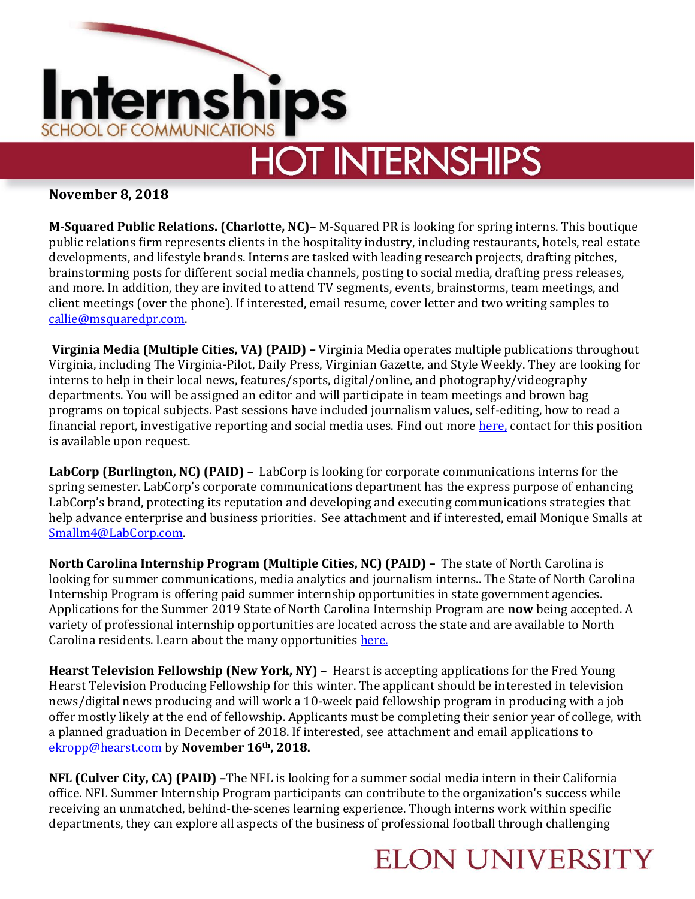

# **HOT INTERNSHIPS**

### **November 8, 2018**

**M-Squared Public Relations. (Charlotte, NC)–** M-Squared PR is looking for spring interns. This boutique public relations firm represents clients in the hospitality industry, including restaurants, hotels, real estate developments, and lifestyle brands. Interns are tasked with leading research projects, drafting pitches, brainstorming posts for different social media channels, posting to social media, drafting press releases, and more. In addition, they are invited to attend TV segments, events, brainstorms, team meetings, and client meetings (over the phone). If interested, email resume, cover letter and two writing samples to [callie@msquaredpr.com.](mailto:callie@msquaredpr.com)

**Virginia Media (Multiple Cities, VA) (PAID) –** Virginia Media operates multiple publications throughout Virginia, including The Virginia-Pilot, Daily Press, Virginian Gazette, and Style Weekly. They are looking for interns to help in their local news, features/sports, digital/online, and photography/videography departments. You will be assigned an editor and will participate in team meetings and brown bag programs on topical subjects. Past sessions have included journalism values, self-editing, how to read a financial report, investigative reporting and social media uses. Find out more [here,](https://pilotonline.com/site/newsroom/internship.html) contact for this position is available upon request.

**LabCorp (Burlington, NC) (PAID) –** LabCorp is looking for corporate communications interns for the spring semester. LabCorp's corporate communications department has the express purpose of enhancing LabCorp's brand, protecting its reputation and developing and executing communications strategies that help advance enterprise and business priorities. See attachment and if interested, email Monique Smalls at [Smallm4@LabCorp.com.](mailto:Smallm4@LabCorp.com) 

**North Carolina Internship Program (Multiple Cities, NC) (PAID) –** The state of North Carolina is looking for summer communications, media analytics and journalism interns.. The State of North Carolina Internship Program is offering paid summer internship opportunities in state government agencies. Applications for the Summer 2019 State of North Carolina Internship Program are **now** being accepted. A variety of professional internship opportunities are located across the state and are available to North Carolina residents. Learn about the many opportunities [here.](https://files.nc.gov/ncdoa/PROGRAM%20BOOK%202019.pdf)

**Hearst Television Fellowship (New York, NY) –** Hearst is accepting applications for the Fred Young Hearst Television Producing Fellowship for this winter. The applicant should be interested in television news/digital news producing and will work a 10-week paid fellowship program in producing with a job offer mostly likely at the end of fellowship. Applicants must be completing their senior year of college, with a planned graduation in December of 2018. If interested, see attachment and email applications to [ekropp@hearst.com](mailto:ekropp@hearst.com) by **November 16th, 2018.**

**NFL (Culver City, CA) (PAID) –**The NFL is looking for a summer social media intern in their California office. NFL Summer Internship Program participants can contribute to the organization's success while receiving an unmatched, behind-the-scenes learning experience. Though interns work within specific departments, they can explore all aspects of the business of professional football through challenging

## **ELON UNIVERSITY**